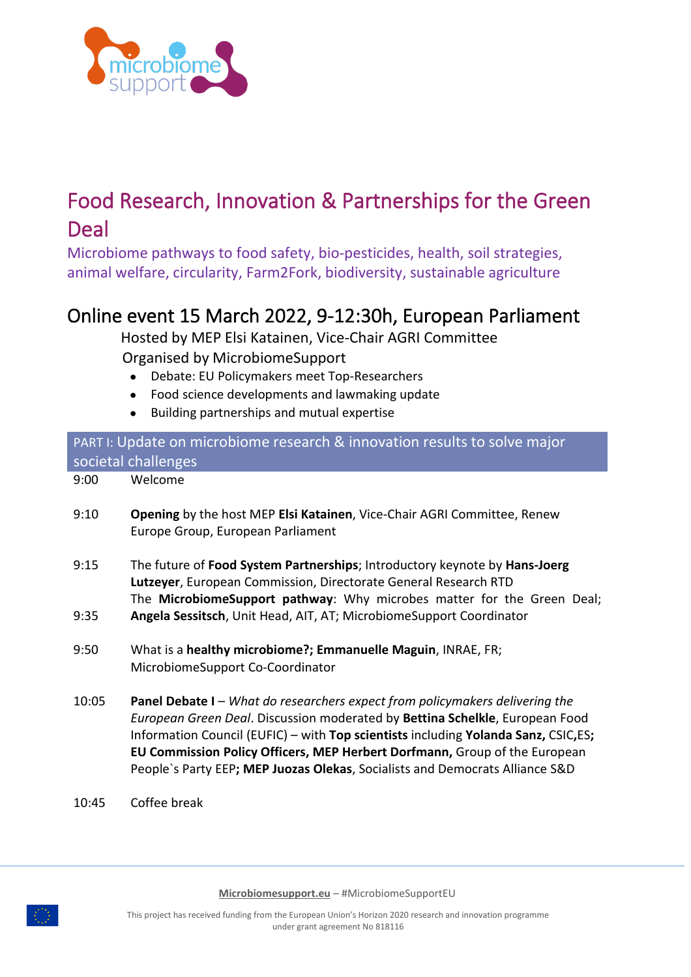

## Food Research, Innovation & Partnerships for the Green Deal

Microbiome pathways to food safety, bio-pesticides, health, soil strategies, animal welfare, circularity, Farm2Fork, biodiversity, sustainable agriculture

## Online event 15 March 2022, 9-12:30h, European Parliament

 Hosted by MEP Elsi Katainen, Vice-Chair AGRI Committee Organised by MicrobiomeSupport

- Debate: EU Policymakers meet Top-Researchers
- Food science developments and lawmaking update
- Building partnerships and mutual expertise

| PART I: Update on microbiome research & innovation results to solve major |                                                                                                                                                                                                                                                                                                                                                                                                                   |
|---------------------------------------------------------------------------|-------------------------------------------------------------------------------------------------------------------------------------------------------------------------------------------------------------------------------------------------------------------------------------------------------------------------------------------------------------------------------------------------------------------|
| societal challenges                                                       |                                                                                                                                                                                                                                                                                                                                                                                                                   |
| 9:00                                                                      | Welcome                                                                                                                                                                                                                                                                                                                                                                                                           |
| 9:10                                                                      | <b>Opening</b> by the host MEP Elsi Katainen, Vice-Chair AGRI Committee, Renew<br>Europe Group, European Parliament                                                                                                                                                                                                                                                                                               |
| 9:15                                                                      | The future of Food System Partnerships; Introductory keynote by Hans-Joerg<br>Lutzeyer, European Commission, Directorate General Research RTD<br>The MicrobiomeSupport pathway: Why microbes matter for the Green Deal;                                                                                                                                                                                           |
| 9:35                                                                      | Angela Sessitsch, Unit Head, AIT, AT; MicrobiomeSupport Coordinator                                                                                                                                                                                                                                                                                                                                               |
| 9:50                                                                      | What is a healthy microbiome?; Emmanuelle Maguin, INRAE, FR;<br>MicrobiomeSupport Co-Coordinator                                                                                                                                                                                                                                                                                                                  |
| 10:05                                                                     | Panel Debate I - What do researchers expect from policymakers delivering the<br>European Green Deal. Discussion moderated by Bettina Schelkle, European Food<br>Information Council (EUFIC) - with Top scientists including Yolanda Sanz, CSIC, ES;<br>EU Commission Policy Officers, MEP Herbert Dorfmann, Group of the European<br>People's Party EEP; MEP Juozas Olekas, Socialists and Democrats Alliance S&D |

10:45 Coffee break

**Microbiomesupport.eu** – #MicrobiomeSupportEU